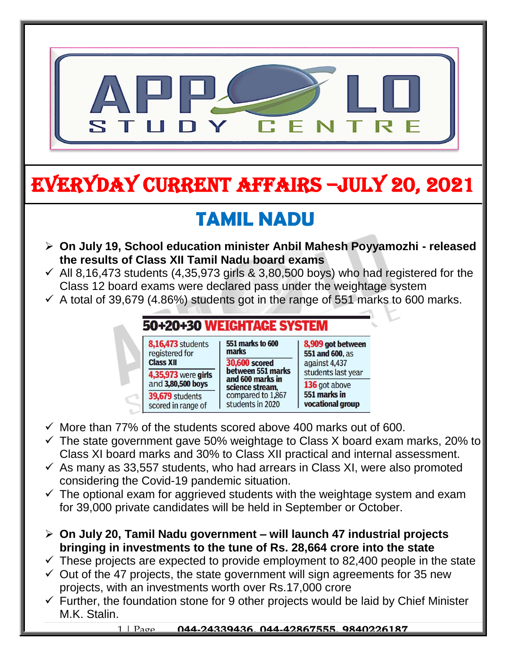

# EVERYDAY CURRENT AFFAIRS –jULY 20, 2021

-

# **TAMIL NADU**

- **On July 19, School education minister Anbil Mahesh Poyyamozhi - released the results of Class XII Tamil Nadu board exams**
- $\checkmark$  All 8,16,473 students (4,35,973 girls & 3,80,500 boys) who had registered for the Class 12 board exams were declared pass under the weightage system
- $\checkmark$  A total of 39,679 (4.86%) students got in the range of 551 marks to 600 marks.

#### 50+20+30 WEIGHTAGE SYSTEM

| 8,16,473 students<br>registered for<br><b>Class XII</b> | <b>551 marks to 600</b><br>marks<br><b>30,600 scored</b> | 8,909 got between<br>551 and 600, as<br>against 4,437<br>students last year<br>136 got above<br>551 marks in<br>vocational group |
|---------------------------------------------------------|----------------------------------------------------------|----------------------------------------------------------------------------------------------------------------------------------|
| 4,35,973 were girls<br>and 3,80,500 boys                | between 551 marks<br>and 600 marks in<br>science stream, |                                                                                                                                  |
| <b>39,679</b> students<br>scored in range of            | compared to 1,867<br>students in 2020                    |                                                                                                                                  |

- $\checkmark$  More than 77% of the students scored above 400 marks out of 600.
- $\checkmark$  The state government gave 50% weightage to Class X board exam marks, 20% to Class XI board marks and 30% to Class XII practical and internal assessment.
- $\checkmark$  As many as 33,557 students, who had arrears in Class XI, were also promoted considering the Covid-19 pandemic situation.
- $\checkmark$  The optional exam for aggrieved students with the weightage system and exam for 39,000 private candidates will be held in September or October.
- **On July 20, Tamil Nadu government – will launch 47 industrial projects bringing in investments to the tune of Rs. 28,664 crore into the state**
- $\checkmark$  These projects are expected to provide employment to 82,400 people in the state
- $\checkmark$  Out of the 47 projects, the state government will sign agreements for 35 new projects, with an investments worth over Rs.17,000 crore
- $\checkmark$  Further, the foundation stone for 9 other projects would be laid by Chief Minister M.K. Stalin.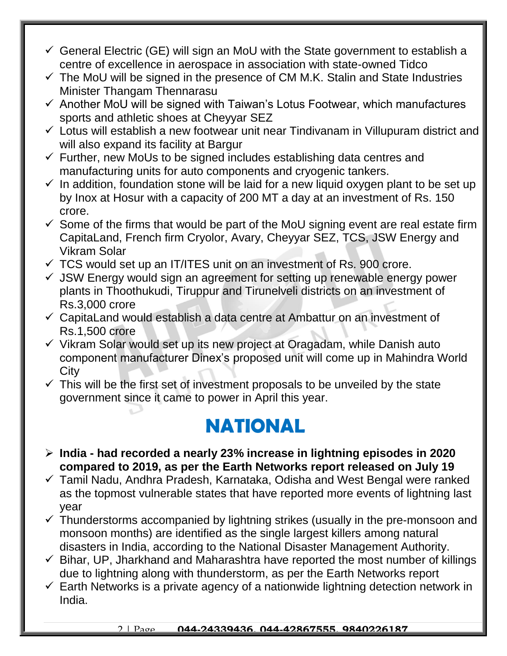- $\checkmark$  General Electric (GE) will sign an MoU with the State government to establish a centre of excellence in aerospace in association with state-owned Tidco
- $\checkmark$  The MoU will be signed in the presence of CM M.K. Stalin and State Industries Minister Thangam Thennarasu
- $\checkmark$  Another MoU will be signed with Taiwan's Lotus Footwear, which manufactures sports and athletic shoes at Cheyyar SEZ
- $\checkmark$  Lotus will establish a new footwear unit near Tindivanam in Villupuram district and will also expand its facility at Bargur
- $\checkmark$  Further, new MoUs to be signed includes establishing data centres and manufacturing units for auto components and cryogenic tankers.
- $\checkmark$  In addition, foundation stone will be laid for a new liquid oxygen plant to be set up by Inox at Hosur with a capacity of 200 MT a day at an investment of Rs. 150 crore.
- $\checkmark$  Some of the firms that would be part of the MoU signing event are real estate firm CapitaLand, French firm Cryolor, Avary, Cheyyar SEZ, TCS, JSW Energy and Vikram Solar
- $\checkmark$  TCS would set up an IT/ITES unit on an investment of Rs. 900 crore.
- $\checkmark$  JSW Energy would sign an agreement for setting up renewable energy power plants in Thoothukudi, Tiruppur and Tirunelveli districts on an investment of Rs.3,000 crore
- $\checkmark$  CapitaLand would establish a data centre at Ambattur on an investment of Rs.1,500 crore
- $\checkmark$  Vikram Solar would set up its new project at Oragadam, while Danish auto component manufacturer Dinex's proposed unit will come up in Mahindra World **City**
- $\checkmark$  This will be the first set of investment proposals to be unveiled by the state government since it came to power in April this year.

### **NATIONAL**

- **India - had recorded a nearly 23% increase in lightning episodes in 2020 compared to 2019, as per the Earth Networks report released on July 19**
- Tamil Nadu, Andhra Pradesh, Karnataka, Odisha and West Bengal were ranked as the topmost vulnerable states that have reported more events of lightning last year
- $\checkmark$  Thunderstorms accompanied by lightning strikes (usually in the pre-monsoon and monsoon months) are identified as the single largest killers among natural disasters in India, according to the National Disaster Management Authority.
- $\checkmark$  Bihar, UP, Jharkhand and Maharashtra have reported the most number of killings due to lightning along with thunderstorm, as per the Earth Networks report
- $\checkmark$  Earth Networks is a private agency of a nationwide lightning detection network in India.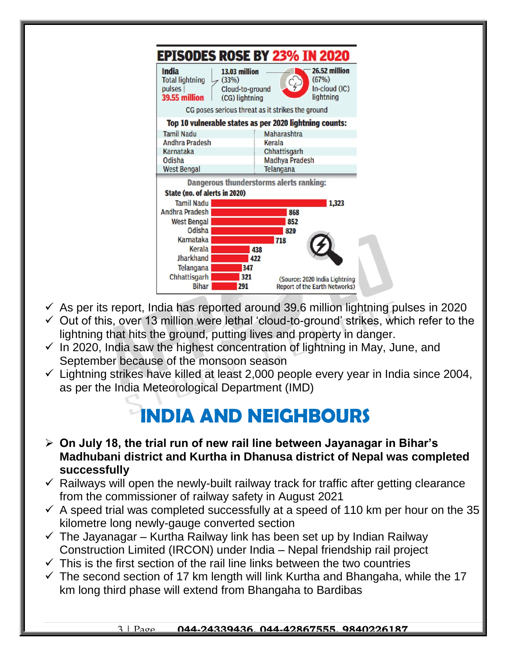

- $\checkmark$  As per its report, India has reported around 39.6 million lightning pulses in 2020
- $\checkmark$  Out of this, over 13 million were lethal 'cloud-to-ground' strikes, which refer to the lightning that hits the ground, putting lives and property in danger.
- $\checkmark$  In 2020, India saw the highest concentration of lightning in May, June, and September because of the monsoon season
- $\checkmark$  Lightning strikes have killed at least 2,000 people every year in India since 2004, as per the India Meteorological Department (IMD)

## **INDIA AND NEIGHBOURS**

- **On July 18, the trial run of new rail line between Jayanagar in Bihar's Madhubani district and Kurtha in Dhanusa district of Nepal was completed successfully**
- $\checkmark$  Railways will open the newly-built railway track for traffic after getting clearance from the commissioner of railway safety in August 2021
- $\checkmark$  A speed trial was completed successfully at a speed of 110 km per hour on the 35 kilometre long newly-gauge converted section
- $\checkmark$  The Jayanagar Kurtha Railway link has been set up by Indian Railway Construction Limited (IRCON) under India – Nepal friendship rail project
- $\checkmark$  This is the first section of the rail line links between the two countries
- $\checkmark$  The second section of 17 km length will link Kurtha and Bhangaha, while the 17 km long third phase will extend from Bhangaha to Bardibas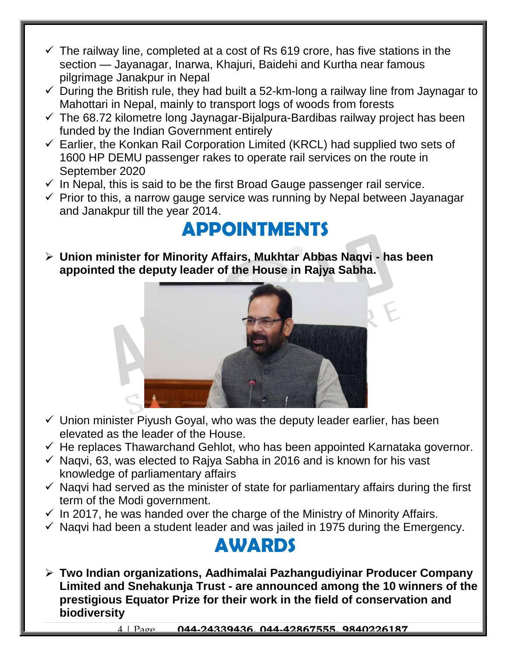- $\checkmark$  The railway line, completed at a cost of Rs 619 crore, has five stations in the section — Jayanagar, Inarwa, Khajuri, Baidehi and Kurtha near famous pilgrimage Janakpur in Nepal
- $\checkmark$  During the British rule, they had built a 52-km-long a railway line from Jaynagar to Mahottari in Nepal, mainly to transport logs of woods from forests
- $\checkmark$  The 68.72 kilometre long Jaynagar-Bijalpura-Bardibas railway project has been funded by the Indian Government entirely
- $\checkmark$  Earlier, the Konkan Rail Corporation Limited (KRCL) had supplied two sets of 1600 HP DEMU passenger rakes to operate rail services on the route in September 2020
- $\checkmark$  In Nepal, this is said to be the first Broad Gauge passenger rail service.
- $\checkmark$  Prior to this, a narrow gauge service was running by Nepal between Jayanagar and Janakpur till the year 2014.

#### **APPOINTMENTS**

 **Union minister for Minority Affairs, Mukhtar Abbas Naqvi - has been appointed the deputy leader of the House in Rajya Sabha.**



- $\checkmark$  Union minister Piyush Goyal, who was the deputy leader earlier, has been elevated as the leader of the House.
- $\checkmark$  He replaces Thawarchand Gehlot, who has been appointed Karnataka governor.
- $\checkmark$  Nagvi, 63, was elected to Rajya Sabha in 2016 and is known for his vast knowledge of parliamentary affairs
- $\checkmark$  Naqvi had served as the minister of state for parliamentary affairs during the first term of the Modi government.
- $\checkmark$  In 2017, he was handed over the charge of the Ministry of Minority Affairs.
- $\checkmark$  Naqvi had been a student leader and was jailed in 1975 during the Emergency.

#### **AWARDS**

 **Two Indian organizations, Aadhimalai Pazhangudiyinar Producer Company Limited and Snehakunja Trust - are announced among the 10 winners of the prestigious Equator Prize for their work in the field of conservation and biodiversity**